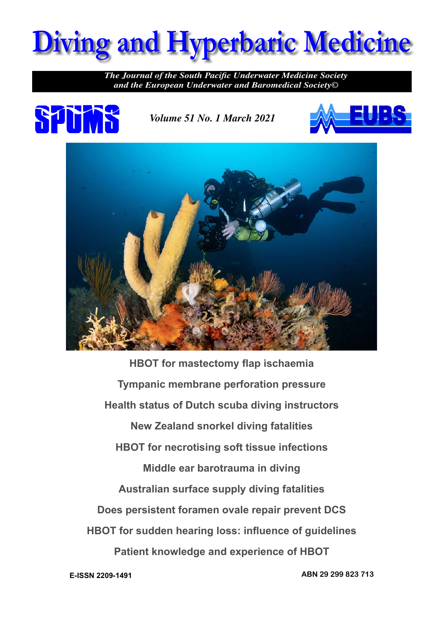

*The Journal of the South Pacific Underwater Medicine Society and the European Underwater and Baromedical Society©*



*Volume 51 No. 1 March 2021*





**HBOT for mastectomy flap ischaemia Tympanic membrane perforation pressure Health status of Dutch scuba diving instructors New Zealand snorkel diving fatalities HBOT for necrotising soft tissue infections Middle ear barotrauma in diving Australian surface supply diving fatalities Does persistent foramen ovale repair prevent DCS HBOT for sudden hearing loss: influence of guidelines Patient knowledge and experience of HBOT**

**E-ISSN 2209-1491 ABN 29 299 823 713**